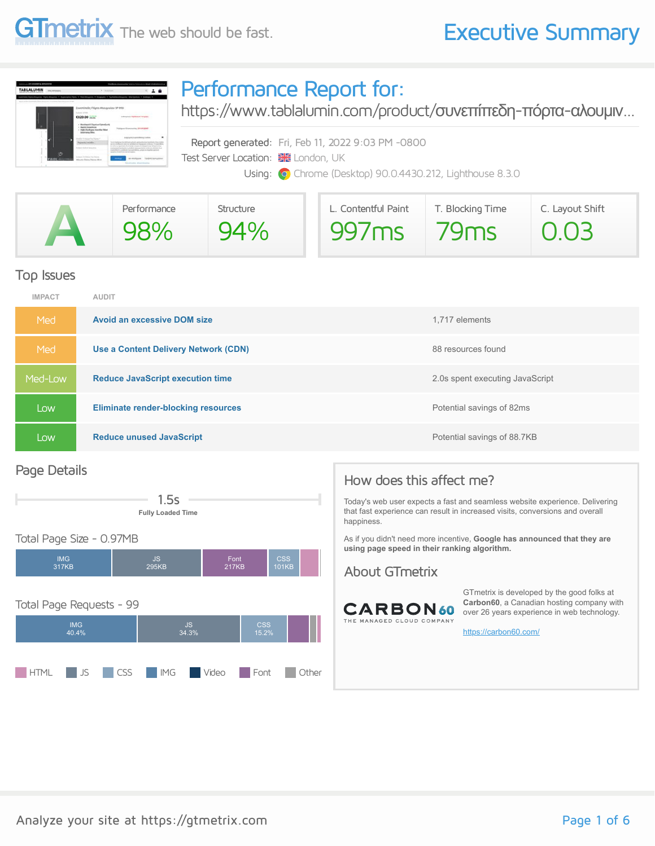## **GTmetrix** The web should be fast. **Executive Summary**



### Performance Report for:

[https://www.tablalumin.com/product/](https://www.tablalumin.com/product/%CF%83%CF%85%CE%BD%CE%B5%CF%80%CE%AF%CF%80%CE%B5%CE%B4%CE%B7-%CF%80%CF%8C%CF%81%CF%84%CE%B1-%CE%B1%CE%BB%CE%BF%CF%85%CE%BC%CE%B9%CE%BD%CE%AF%CE%BF%CF%85-sp-990/)συνεπίπεδη-πόρτα-αλουμιν...

Report generated: Fri, Feb 11, 2022 9:03 PM -0800 Test Server Location: **XX** London, UK Using: **O** Chrome (Desktop) 90.0.4430.212, Lighthouse 8.3.0

|                          | Performance | Structure | L. Contentful Paint | T. Blocking Time | C. Layout Shift   |  |  |
|--------------------------|-------------|-----------|---------------------|------------------|-------------------|--|--|
| $\overline{\phantom{a}}$ | 98%         | 94%       | 997 <sub>ms</sub>   | 79ms             | $\overline{0.03}$ |  |  |

#### Top Issues

| <b>IMPACT</b> | <b>AUDIT</b>                               |                                 |
|---------------|--------------------------------------------|---------------------------------|
| Med           | <b>Avoid an excessive DOM size</b>         | 1,717 elements                  |
| Med           | Use a Content Delivery Network (CDN)       | 88 resources found              |
| Med-Low       | <b>Reduce JavaScript execution time</b>    | 2.0s spent executing JavaScript |
| Low           | <b>Eliminate render-blocking resources</b> | Potential savings of 82ms       |
| Low           | <b>Reduce unused JavaScript</b>            | Potential savings of 88.7KB     |

#### Page Details



#### Total Page Size - 0.97MB



### How does this affect me?

Today's web user expects a fast and seamless website experience. Delivering that fast experience can result in increased visits, conversions and overall happiness.

As if you didn't need more incentive, **Google has announced that they are using page speed in their ranking algorithm.**

#### About GTmetrix



GTmetrix is developed by the good folks at **Carbon60**, a Canadian hosting company with over 26 years experience in web technology.

<https://carbon60.com/>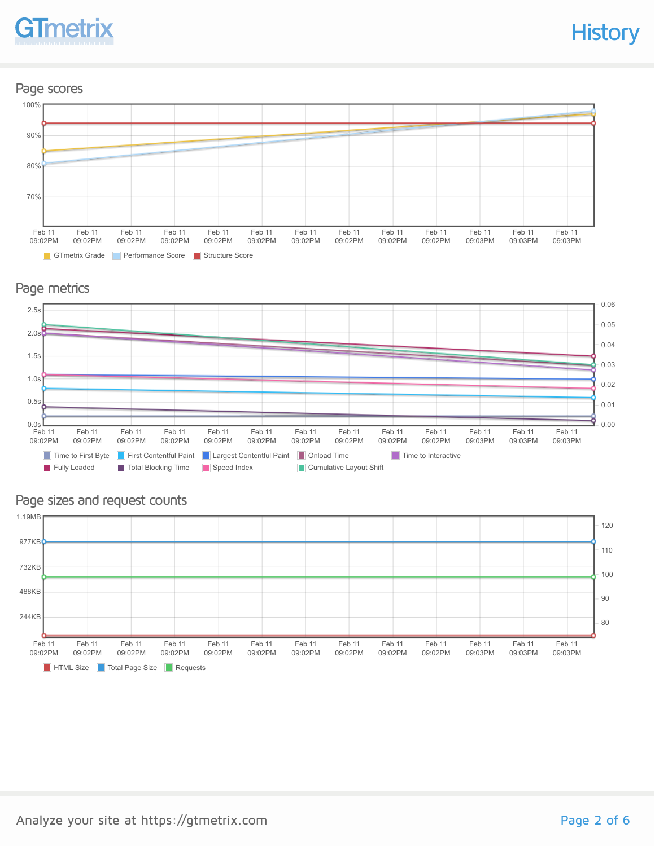

#### Page scores



#### Page metrics



#### Page sizes and request counts

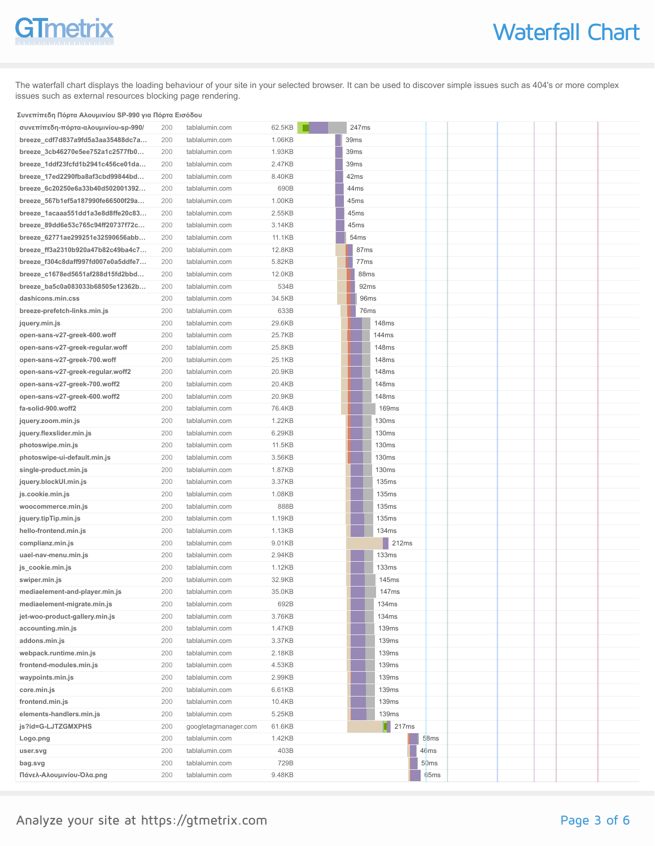# GTmetrix

The waterfall chart displays the loading behaviour of your site in your selected browser. It can be used to discover simple issues such as 404's or more complex issues such as external resources blocking page rendering.

#### **Συνεπίπεδη Πόρτα Αλουμινίου SP-990 για Πόρτα Εισόδου**

| συνεπίπεδη-πόρτα-αλουμινίου-sp-990/ | 200 | tablalumin.com       | 62.5KB |      |                  | 247ms            |               |                  |  |  |
|-------------------------------------|-----|----------------------|--------|------|------------------|------------------|---------------|------------------|--|--|
| breeze_cdf7d837a9fd5a3aa35488dc7a   | 200 | tablalumin.com       | 1.06KB |      | 39 <sub>ms</sub> |                  |               |                  |  |  |
| breeze_3cb46270e5ee752a1c2577fb0    | 200 | tablalumin.com       | 1.93KB |      | 39ms             |                  |               |                  |  |  |
| breeze_1ddf23fcfd1b2941c456ce01da   | 200 | tablalumin.com       | 2.47KB | 39ms |                  |                  |               |                  |  |  |
| breeze_17ed2290fba8af3cbd99844bd    | 200 | tablalumin.com       | 8.40KB |      | 42ms             |                  |               |                  |  |  |
| breeze_6c20250e6a33b40d502001392    | 200 | tablalumin.com       | 690B   |      | 44ms             |                  |               |                  |  |  |
| breeze_567b1ef5a187990fe66500f29a   | 200 | tablalumin.com       | 1.00KB |      | 45ms             |                  |               |                  |  |  |
| breeze_1acaaa551dd1a3e8d8ffe20c83   | 200 | tablalumin.com       | 2.55KB |      | 45 <sub>ms</sub> |                  |               |                  |  |  |
| breeze_89dd6e53c765c94ff20737f72c   | 200 | tablalumin.com       | 3.14KB |      | 45ms             |                  |               |                  |  |  |
| breeze_62771ae299251e32590656abb    | 200 | tablalumin.com       | 11.1KB |      | 54 <sub>ms</sub> |                  |               |                  |  |  |
| breeze_ff3a2310b920a47b82c49ba4c7   | 200 | tablalumin.com       | 12.8KB |      |                  | 87ms             |               |                  |  |  |
| breeze_f304c8daff997fd007e0a5ddfe7  | 200 | tablalumin.com       | 5.82KB |      |                  | 77 <sub>ms</sub> |               |                  |  |  |
| breeze_c1678ed5651af288d15fd2bbd    | 200 | tablalumin.com       | 12.0KB |      |                  | 88ms             |               |                  |  |  |
| breeze_ba5c0a083033b68505e12362b    | 200 | tablalumin.com       | 534B   |      |                  | 92ms             |               |                  |  |  |
| dashicons.min.css                   | 200 | tablalumin.com       | 34.5KB |      |                  | 96ms             |               |                  |  |  |
| breeze-prefetch-links.min.js        | 200 | tablalumin.com       | 633B   |      |                  | 76ms             |               |                  |  |  |
| jquery.min.js                       | 200 | tablalumin.com       | 29.6KB |      |                  |                  | 148ms         |                  |  |  |
| open-sans-v27-greek-600.woff        | 200 | tablalumin.com       | 25.7KB |      |                  |                  | 144ms         |                  |  |  |
| open-sans-v27-greek-regular.woff    | 200 | tablalumin.com       | 25.8KB |      |                  |                  | 148ms         |                  |  |  |
| open-sans-v27-greek-700.woff        | 200 | tablalumin.com       | 25.1KB |      |                  |                  | 148ms         |                  |  |  |
| open-sans-v27-greek-regular.woff2   | 200 | tablalumin.com       | 20.9KB |      |                  |                  | 148ms         |                  |  |  |
| open-sans-v27-greek-700.woff2       | 200 | tablalumin.com       | 20.4KB |      |                  |                  | 148ms         |                  |  |  |
| open-sans-v27-greek-600.woff2       | 200 | tablalumin.com       | 20.9KB |      |                  |                  | 148ms         |                  |  |  |
| fa-solid-900.woff2                  | 200 | tablalumin.com       | 76.4KB |      |                  |                  | <b>169ms</b>  |                  |  |  |
| jquery.zoom.min.js                  | 200 | tablalumin.com       | 1.22KB |      |                  |                  | 130ms         |                  |  |  |
| jquery.flexslider.min.js            | 200 | tablalumin.com       | 6.29KB |      |                  |                  | 130ms         |                  |  |  |
| photoswipe.min.js                   | 200 | tablalumin.com       | 11.5KB |      |                  |                  | <b>130ms</b>  |                  |  |  |
| photoswipe-ui-default.min.js        | 200 | tablalumin.com       | 3.56KB |      |                  |                  | 130ms         |                  |  |  |
| single-product.min.js               | 200 | tablalumin.com       | 1.87KB |      |                  |                  | 130ms         |                  |  |  |
| jquery.blockUI.min.js               | 200 | tablalumin.com       | 3.37KB |      |                  |                  | 135ms         |                  |  |  |
| js.cookie.min.js                    | 200 | tablalumin.com       | 1.08KB |      |                  |                  | 135ms         |                  |  |  |
| woocommerce.min.js                  | 200 | tablalumin.com       | 888B   |      |                  |                  | 135ms         |                  |  |  |
| jquery.tipTip.min.js                | 200 | tablalumin.com       | 1.19KB |      |                  |                  | 135ms         |                  |  |  |
| hello-frontend.min.js               | 200 | tablalumin.com       | 1.13KB |      |                  |                  | 134ms         |                  |  |  |
| complianz.min.js                    | 200 | tablalumin.com       | 9.01KB |      |                  |                  | 212ms         |                  |  |  |
| uael-nav-menu.min.js                | 200 | tablalumin.com       | 2.94KB |      |                  |                  | <b>133ms</b>  |                  |  |  |
| js_cookie.min.js                    | 200 | tablalumin.com       | 1.12KB |      |                  |                  | <b>133ms</b>  |                  |  |  |
| swiper.min.js                       | 200 | tablalumin.com       | 32.9KB |      |                  |                  | 145ms         |                  |  |  |
| mediaelement-and-player.min.js      | 200 | tablalumin.com       | 35.0KB |      |                  |                  | 147ms         |                  |  |  |
| mediaelement-migrate.min.js         | 200 | tablalumin.com       | 692B   |      |                  |                  | 134ms         |                  |  |  |
| jet-woo-product-gallery.min.js      | 200 | tablalumin.com       | 3.76KB |      |                  |                  | 134ms         |                  |  |  |
| accounting.min.js                   | 200 | tablalumin.com       | 1.47KB |      |                  |                  | 139ms         |                  |  |  |
| addons.min.js                       | 200 | tablalumin.com       | 3.37KB |      |                  |                  | 139ms         |                  |  |  |
| webpack.runtime.min.js              | 200 | tablalumin.com       | 2.18KB |      |                  |                  | 139ms         |                  |  |  |
| frontend-modules.min.js             | 200 | tablalumin.com       | 4.53KB |      |                  |                  | 139ms         |                  |  |  |
| waypoints.min.js                    | 200 | tablalumin.com       | 2.99KB |      |                  |                  | 139ms         |                  |  |  |
| core.min.js                         | 200 | tablalumin.com       | 6.61KB |      |                  |                  | 139ms         |                  |  |  |
| frontend.min.js                     | 200 | tablalumin.com       | 10.4KB |      |                  |                  | 139ms         |                  |  |  |
| elements-handlers.min.js            | 200 | tablalumin.com       | 5.25KB |      |                  |                  | 139ms         |                  |  |  |
| js?id=G-LJTZGMXPHS                  | 200 | googletagmanager.com | 61.6KB |      |                  |                  | $\vert$ 217ms |                  |  |  |
| Logo.png                            | 200 | tablalumin.com       | 1.42KB |      |                  |                  |               | 58ms             |  |  |
| user.svg                            | 200 | tablalumin.com       | 403B   |      |                  |                  |               | 46ms             |  |  |
| bag.svg                             | 200 | tablalumin.com       | 729B   |      |                  |                  |               | 50ms             |  |  |
| Πάνελ-Αλουμινίου-Όλα.png            | 200 | tablalumin.com       | 9.48KB |      |                  |                  |               | 65 <sub>ms</sub> |  |  |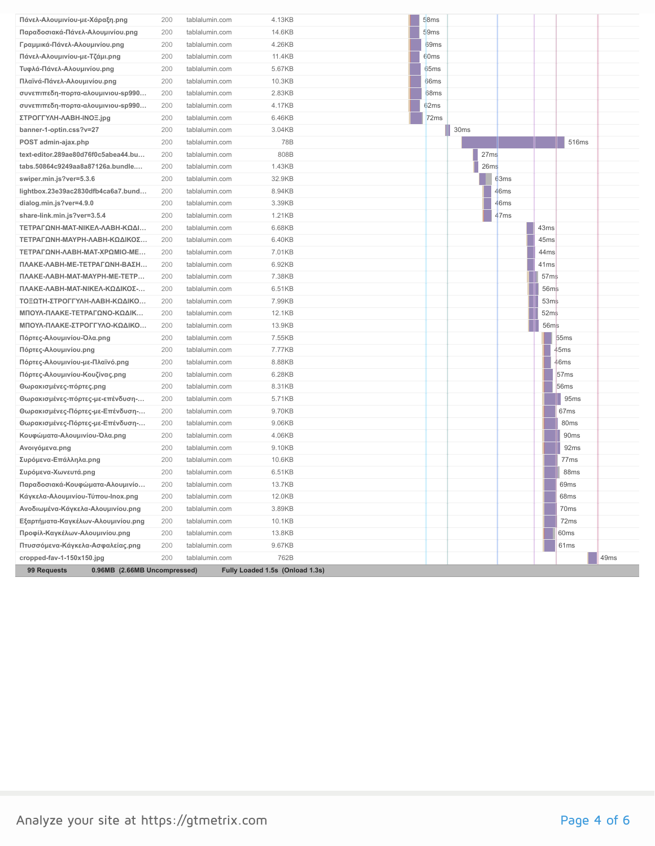| Πάνελ-Αλουμινίου-με-Χάραξη.png      | 200 | tablalumin.com | 4.13KB | 58ms             |      |                  |                  |      |
|-------------------------------------|-----|----------------|--------|------------------|------|------------------|------------------|------|
| Παραδοσιακά-Πάνελ-Αλουμινίου.png    | 200 | tablalumin.com | 14.6KB | 59ms             |      |                  |                  |      |
| Γραμμικά-Πάνελ-Αλουμινίου.png       | 200 | tablalumin.com | 4.26KB | 69 <sub>ms</sub> |      |                  |                  |      |
| Πάνελ-Αλουμινίου-με-Τζάμι.png       | 200 | tablalumin.com | 11.4KB | 60ms             |      |                  |                  |      |
| Τυφλά-Πάνελ-Αλουμινίου.png          | 200 | tablalumin.com | 5.67KB | 65ms             |      |                  |                  |      |
| Πλαϊνά-Πάνελ-Αλουμινίου.png         | 200 | tablalumin.com | 10.3KB | 66 <sub>ms</sub> |      |                  |                  |      |
| συνεπιπεδη-πορτα-αλουμινιου-sp990   | 200 | tablalumin.com | 2.83KB | 68ms             |      |                  |                  |      |
| συνεπιπεδη-πορτα-αλουμινιου-sp990   | 200 | tablalumin.com | 4.17KB | 62ms             |      |                  |                  |      |
| ΣΤΡΟΓΓΥΛΗ-ΛΑΒΗ-INOΞ.jpg             | 200 | tablalumin.com | 6.46KB | 72ms             |      |                  |                  |      |
| banner-1-optin.css?v=27             | 200 | tablalumin.com | 3.04KB |                  | 30ms |                  |                  |      |
| POST admin-ajax.php                 | 200 | tablalumin.com | 78B    |                  |      |                  | 516ms            |      |
| text-editor.289ae80d76f0c5abea44.bu | 200 | tablalumin.com | 808B   |                  | 27ms |                  |                  |      |
| tabs.50864c9249aa8a87126a.bundle    | 200 | tablalumin.com | 1.43KB |                  | 26ms |                  |                  |      |
| swiper.min.js?ver=5.3.6             | 200 | tablalumin.com | 32.9KB |                  | 63ms |                  |                  |      |
| lightbox.23e39ac2830dfb4ca6a7.bund  | 200 | tablalumin.com | 8.94KB |                  | 46ms |                  |                  |      |
| dialog.min.js?ver=4.9.0             | 200 | tablalumin.com | 3.39KB |                  | 46ms |                  |                  |      |
| share-link.min.js?ver=3.5.4         | 200 | tablalumin.com | 1.21KB |                  | 47ms |                  |                  |      |
| ΤΕΤΡΑΓΩΝΗ-ΜΑΤ-ΝΙΚΕΛ-ΛΑΒΗ-ΚΩΔΙ       | 200 | tablalumin.com | 6.68KB |                  |      | 43ms             |                  |      |
| ΤΕΤΡΑΓΩΝΗ-ΜΑΥΡΗ-ΛΑΒΗ-ΚΩΔΙΚΟΣ        | 200 | tablalumin.com | 6.40KB |                  |      | 45ms             |                  |      |
| ΤΕΤΡΑΓΩΝΗ-ΛΑΒΗ-ΜΑΤ-ΧΡΩΜΙΟ-ΜΕ        | 200 | tablalumin.com | 7.01KB |                  |      | 44ms             |                  |      |
| ΠΛΑΚΕ-ΛΑΒΗ-ΜΕ-ΤΕΤΡΑΓΩΝΗ-ΒΑΣΗ        | 200 | tablalumin.com | 6.92KB |                  |      | 41 <sub>ms</sub> |                  |      |
| ΠΛΑΚΕ-ΛΑΒΗ-ΜΑΤ-ΜΑΥΡΗ-ΜΕ-ΤΕΤΡ        | 200 | tablalumin.com | 7.38KB |                  |      | 57 <sub>ms</sub> |                  |      |
| ΠΛΑΚΕ-ΛΑΒΗ-ΜΑΤ-ΝΙΚΕΛ-ΚΩΔΙΚΟΣ-       | 200 | tablalumin.com | 6.51KB |                  |      | 56ms             |                  |      |
| ΤΟΞΩΤΗ-ΣΤΡΟΓΓΥΛΗ-ΛΑΒΗ-ΚΩΔΙΚΟ        | 200 | tablalumin.com | 7.99KB |                  |      | 53 <sub>ms</sub> |                  |      |
| ΜΠΟΥΛ-ΠΛΑΚΕ-ΤΕΤΡΑΓΩΝΟ-ΚΩΔΙΚ         | 200 | tablalumin.com | 12.1KB |                  |      | 52ms             |                  |      |
| ΜΠΟΥΛ-ΠΛΑΚΕ-ΣΤΡΟΓΓΥΛΟ-ΚΩΔΙΚΟ        | 200 | tablalumin.com | 13.9KB |                  |      | 56ms             |                  |      |
| Πόρτες-Αλουμινίου-Όλα.png           | 200 | tablalumin.com | 7.55KB |                  |      |                  | 55 <sub>ms</sub> |      |
| Πόρτες-Αλουμινίου.png               | 200 | tablalumin.com | 7.77KB |                  |      |                  | 45ms             |      |
| Πόρτες-Αλουμινίου-με-Πλαϊνό.png     | 200 | tablalumin.com | 8.88KB |                  |      |                  | 46ms             |      |
| Πόρτες-Αλουμινίου-Κουζίνας.png      | 200 | tablalumin.com | 6.28KB |                  |      |                  | 57 <sub>ms</sub> |      |
| Θωρακισμένες-πόρτες.png             | 200 | tablalumin.com | 8.31KB |                  |      |                  | 56 <sub>ms</sub> |      |
| Θωρακισμένες-πόρτες-με-επένδυση-    | 200 | tablalumin.com | 5.71KB |                  |      |                  | 95 <sub>ms</sub> |      |
| Θωρακισμένες-Πόρτες-με-Επένδυση-    | 200 | tablalumin.com | 9.70KB |                  |      |                  | 67 <sub>ms</sub> |      |
| Θωρακισμένες-Πόρτες-με-Επένδυση-    | 200 | tablalumin.com | 9.06KB |                  |      |                  | 80 <sub>ms</sub> |      |
| Κουφώματα-Αλουμινίου-Όλα.png        | 200 | tablalumin.com | 4.06KB |                  |      |                  | 90ms             |      |
| Ανοιγόμενα.png                      | 200 | tablalumin.com | 9.10KB |                  |      |                  | 92ms             |      |
| Συρόμενα-Επάλληλα.png               | 200 | tablalumin.com | 10.6KB |                  |      |                  | 77 <sub>ms</sub> |      |
| Συρόμενα-Χωνευτά.png                | 200 | tablalumin.com | 6.51KB |                  |      |                  | 88ms             |      |
| Παραδοσιακά-Κουφώματα-Αλουμινίο     | 200 | tablalumin.com | 13.7KB |                  |      |                  | 69 <sub>ms</sub> |      |
| Κάγκελα-Αλουμινίου-Τύπου-Inox.png   | 200 | tablalumin.com | 12.0KB |                  |      |                  | 68ms             |      |
| Ανοδιωμένα-Κάγκελα-Αλουμινίου.png   | 200 | tablalumin.com | 3.89KB |                  |      |                  | 70 <sub>ms</sub> |      |
| Εξαρτήματα-Καγκέλων-Αλουμινίου.png  |     | tablalumin.com | 10.1KB |                  |      |                  | 72ms             |      |
| Προφίλ-Καγκέλων-Αλουμινίου.png      | 200 |                |        |                  |      |                  |                  |      |
|                                     | 200 | tablalumin.com | 13.8KB |                  |      |                  | 60 <sub>ms</sub> |      |
| Πτυσσόμενα-Κάγκελα-Ασφαλείας.png    | 200 | tablalumin.com | 9.67KB |                  |      |                  | 61ms             |      |
| cropped-fav-1-150x150.jpg           | 200 | tablalumin.com | 762B   |                  |      |                  |                  | 49ms |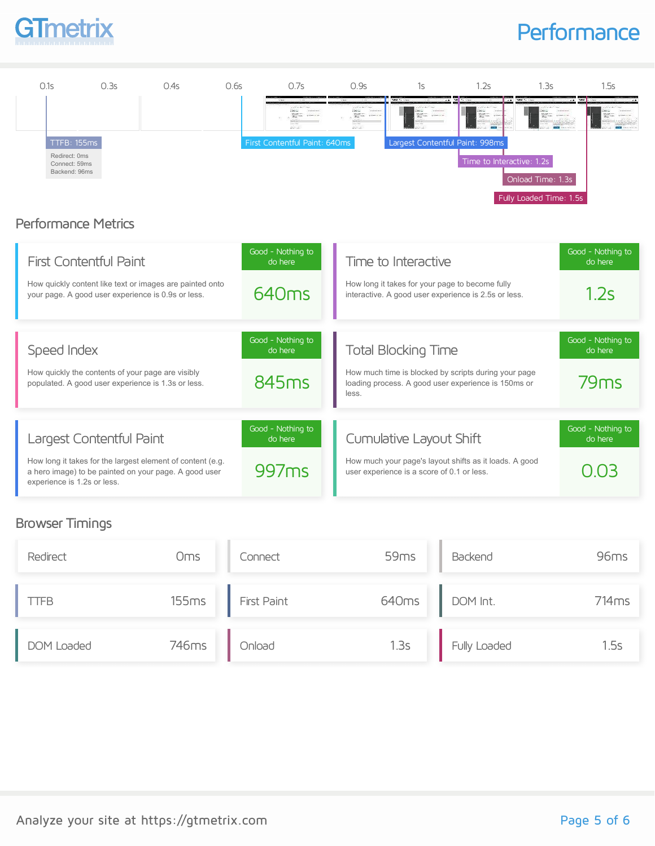

### **Performance**



#### Browser Timings

| Redirect    | <b>Oms</b> | Connect     | 59 <sub>ms</sub> | Backend      | 96ms              |
|-------------|------------|-------------|------------------|--------------|-------------------|
| <b>TTFB</b> | 155ms      | First Paint | 640ms            | DOM Int.     | 714 <sub>ms</sub> |
| DOM Loaded  | 746ms      | Onload      | 1.3s             | Fully Loaded | 1.5s              |